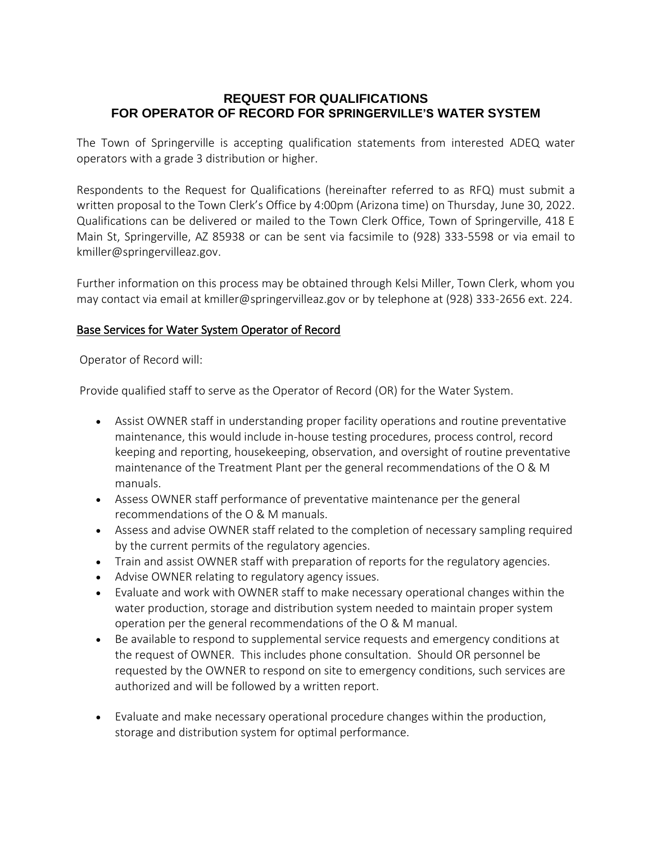## **REQUEST FOR QUALIFICATIONS FOR OPERATOR OF RECORD FOR SPRINGERVILLE'S WATER SYSTEM**

The Town of Springerville is accepting qualification statements from interested ADEQ water operators with a grade 3 distribution or higher.

Respondents to the Request for Qualifications (hereinafter referred to as RFQ) must submit a written proposal to the Town Clerk's Office by 4:00pm (Arizona time) on Thursday, June 30, 2022. Qualifications can be delivered or mailed to the Town Clerk Office, Town of Springerville, 418 E Main St, Springerville, AZ 85938 or can be sent via facsimile to (928) 333-5598 or via email to kmiller@springervilleaz.gov.

Further information on this process may be obtained through Kelsi Miller, Town Clerk, whom you may contact via email at [kmiller@springervilleaz.gov](mailto:kmiller@springervilleaz.gov) or by telephone at (928) 333-2656 ext. 224.

## Base Services for Water System Operator of Record

Operator of Record will:

Provide qualified staff to serve as the Operator of Record (OR) for the Water System.

- Assist OWNER staff in understanding proper facility operations and routine preventative maintenance, this would include in-house testing procedures, process control, record keeping and reporting, housekeeping, observation, and oversight of routine preventative maintenance of the Treatment Plant per the general recommendations of the O & M manuals.
- Assess OWNER staff performance of preventative maintenance per the general recommendations of the O & M manuals.
- Assess and advise OWNER staff related to the completion of necessary sampling required by the current permits of the regulatory agencies.
- Train and assist OWNER staff with preparation of reports for the regulatory agencies.
- Advise OWNER relating to regulatory agency issues.
- Evaluate and work with OWNER staff to make necessary operational changes within the water production, storage and distribution system needed to maintain proper system operation per the general recommendations of the O & M manual.
- Be available to respond to supplemental service requests and emergency conditions at the request of OWNER. This includes phone consultation. Should OR personnel be requested by the OWNER to respond on site to emergency conditions, such services are authorized and will be followed by a written report.
- Evaluate and make necessary operational procedure changes within the production, storage and distribution system for optimal performance.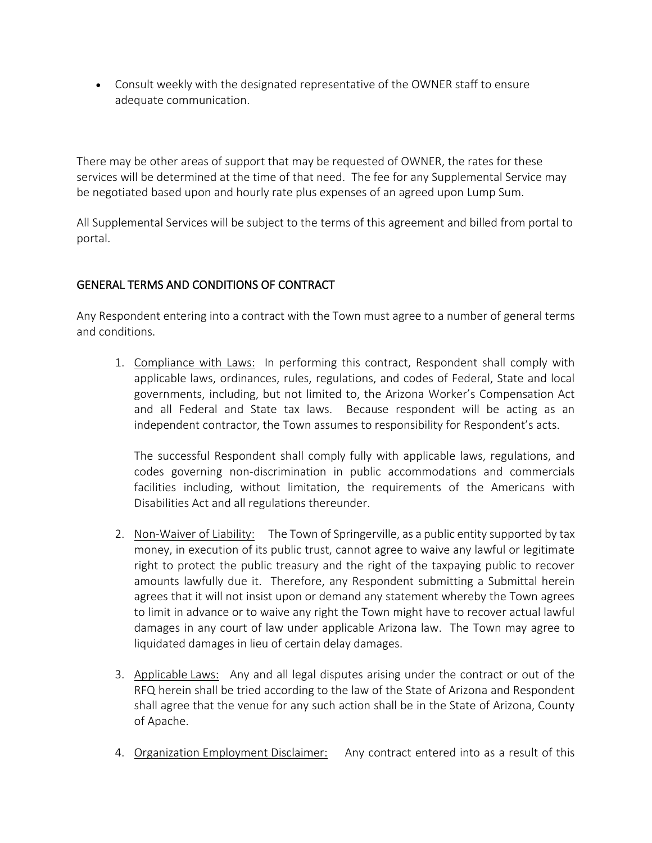• Consult weekly with the designated representative of the OWNER staff to ensure adequate communication.

There may be other areas of support that may be requested of OWNER, the rates for these services will be determined at the time of that need. The fee for any Supplemental Service may be negotiated based upon and hourly rate plus expenses of an agreed upon Lump Sum.

All Supplemental Services will be subject to the terms of this agreement and billed from portal to portal.

## GENERAL TERMS AND CONDITIONS OF CONTRACT

Any Respondent entering into a contract with the Town must agree to a number of general terms and conditions.

1. Compliance with Laws: In performing this contract, Respondent shall comply with applicable laws, ordinances, rules, regulations, and codes of Federal, State and local governments, including, but not limited to, the Arizona Worker's Compensation Act and all Federal and State tax laws. Because respondent will be acting as an independent contractor, the Town assumes to responsibility for Respondent's acts.

The successful Respondent shall comply fully with applicable laws, regulations, and codes governing non-discrimination in public accommodations and commercials facilities including, without limitation, the requirements of the Americans with Disabilities Act and all regulations thereunder.

- 2. Non-Waiver of Liability: The Town of Springerville, as a public entity supported by tax money, in execution of its public trust, cannot agree to waive any lawful or legitimate right to protect the public treasury and the right of the taxpaying public to recover amounts lawfully due it. Therefore, any Respondent submitting a Submittal herein agrees that it will not insist upon or demand any statement whereby the Town agrees to limit in advance or to waive any right the Town might have to recover actual lawful damages in any court of law under applicable Arizona law. The Town may agree to liquidated damages in lieu of certain delay damages.
- 3. Applicable Laws: Any and all legal disputes arising under the contract or out of the RFQ herein shall be tried according to the law of the State of Arizona and Respondent shall agree that the venue for any such action shall be in the State of Arizona, County of Apache.
- 4. Organization Employment Disclaimer: Any contract entered into as a result of this